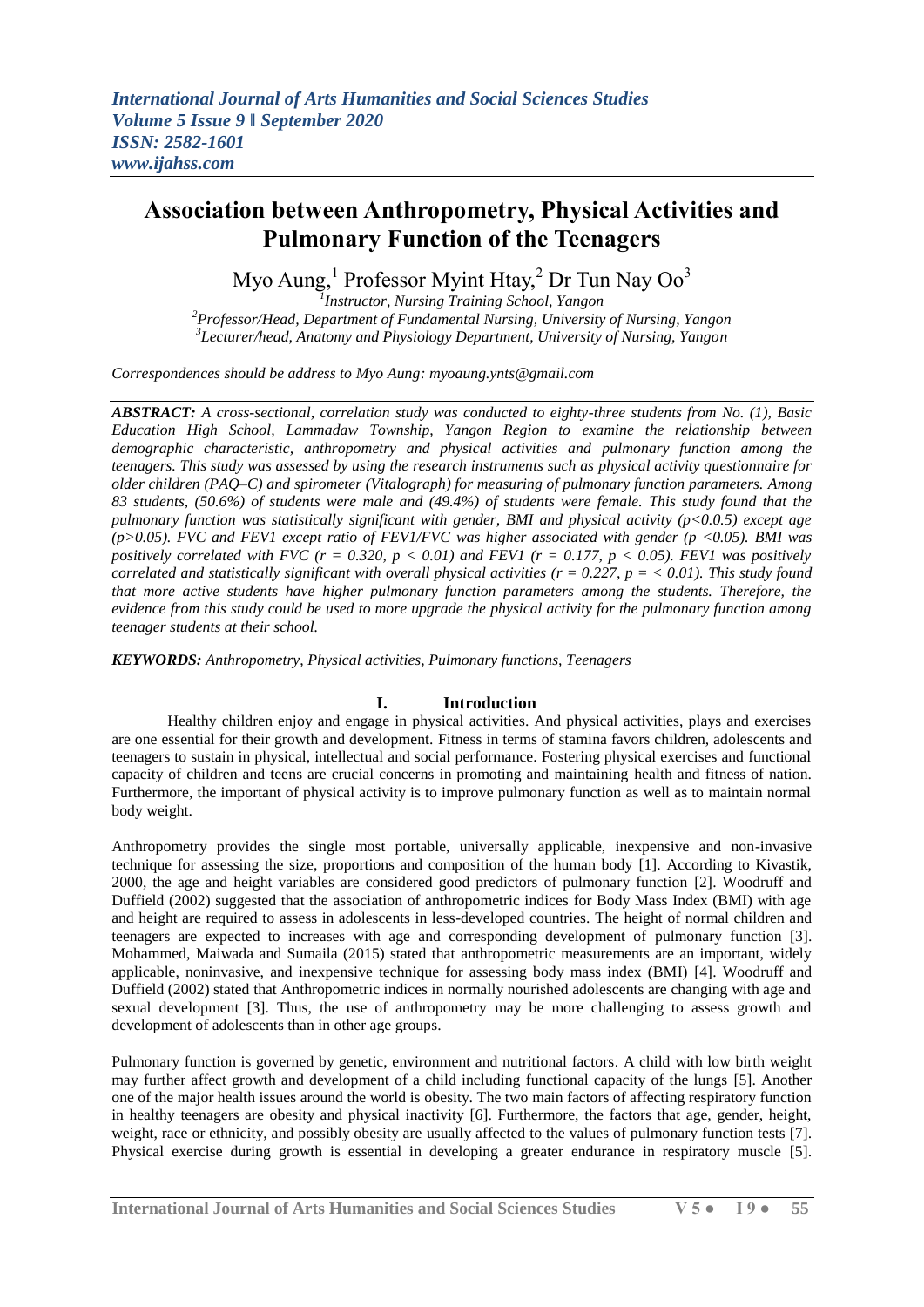# **Association between Anthropometry, Physical Activities and Pulmonary Function of the Teenagers**

Myo Aung,<sup>1</sup> Professor Myint Htay,<sup>2</sup> Dr Tun Nay Oo<sup>3</sup> *1 Instructor, Nursing Training School, Yangon*

*<sup>2</sup>Professor/Head, Department of Fundamental Nursing, University of Nursing, Yangon 3 Lecturer/head, Anatomy and Physiology Department, University of Nursing, Yangon*

*Correspondences should be address to Myo Aung: myoaung.ynts@gmail.com*

*ABSTRACT: A cross-sectional, correlation study was conducted to eighty-three students from No. (1), Basic Education High School, Lammadaw Township, Yangon Region to examine the relationship between demographic characteristic, anthropometry and physical activities and pulmonary function among the teenagers. This study was assessed by using the research instruments such as physical activity questionnaire for older children (PAQ–C) and spirometer (Vitalograph) for measuring of pulmonary function parameters. Among 83 students, (50.6%) of students were male and (49.4%) of students were female. This study found that the pulmonary function was statistically significant with gender, BMI and physical activity (p<0.0.5) except age (p>0.05). FVC and FEV1 except ratio of FEV1/FVC was higher associated with gender (p <0.05). BMI was positively correlated with FVC (r = 0.320, p < 0.01) and FEV1 (r = 0.177, p < 0.05). FEV1 was positively correlated and statistically significant with overall physical activities (r = 0.227, p = < 0.01). This study found that more active students have higher pulmonary function parameters among the students. Therefore, the evidence from this study could be used to more upgrade the physical activity for the pulmonary function among teenager students at their school.*

*KEYWORDS: Anthropometry, Physical activities, Pulmonary functions, Teenagers*

# **I. Introduction**

Healthy children enjoy and engage in physical activities. And physical activities, plays and exercises are one essential for their growth and development. Fitness in terms of stamina favors children, adolescents and teenagers to sustain in physical, intellectual and social performance. Fostering physical exercises and functional capacity of children and teens are crucial concerns in promoting and maintaining health and fitness of nation. Furthermore, the important of physical activity is to improve pulmonary function as well as to maintain normal body weight.

Anthropometry provides the single most portable, universally applicable, inexpensive and non-invasive technique for assessing the size, proportions and composition of the human body [1]. According to Kivastik, 2000, the age and height variables are considered good predictors of pulmonary function [2]. Woodruff and Duffield (2002) suggested that the association of anthropometric indices for Body Mass Index (BMI) with age and height are required to assess in adolescents in less-developed countries. The height of normal children and teenagers are expected to increases with age and corresponding development of pulmonary function [3]. Mohammed, Maiwada and Sumaila (2015) stated that anthropometric measurements are an important, widely applicable, noninvasive, and inexpensive technique for assessing body mass index (BMI) [4]. Woodruff and Duffield (2002) stated that Anthropometric indices in normally nourished adolescents are changing with age and sexual development [3]. Thus, the use of anthropometry may be more challenging to assess growth and development of adolescents than in other age groups.

Pulmonary function is governed by genetic, environment and nutritional factors. A child with low birth weight may further affect growth and development of a child including functional capacity of the lungs [5]. Another one of the major health issues around the world is obesity. The two main factors of affecting respiratory function in healthy teenagers are obesity and physical inactivity [6]. Furthermore, the factors that age, gender, height, weight, race or ethnicity, and possibly obesity are usually affected to the values of pulmonary function tests [7]. Physical exercise during growth is essential in developing a greater endurance in respiratory muscle [5].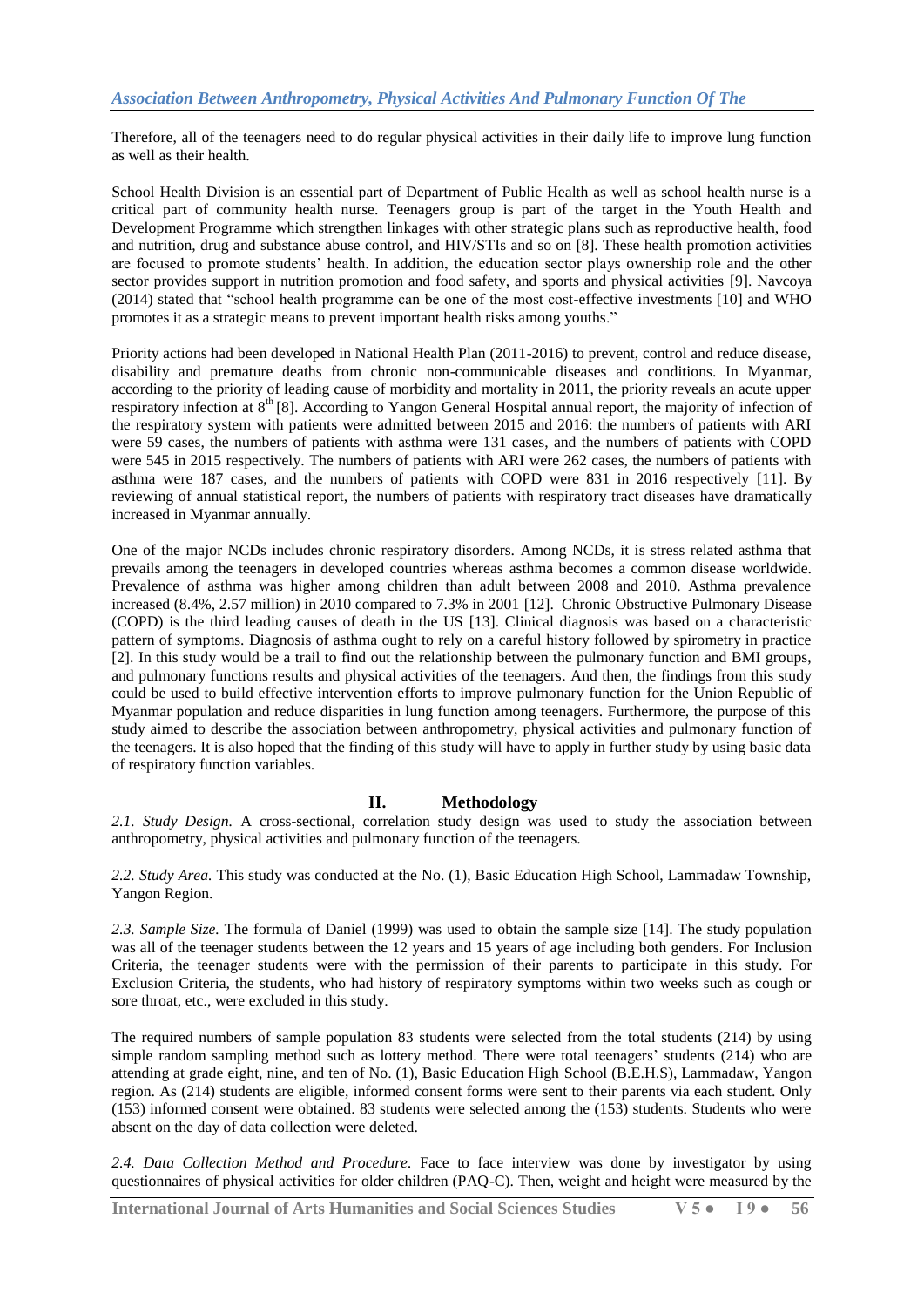Therefore, all of the teenagers need to do regular physical activities in their daily life to improve lung function as well as their health.

School Health Division is an essential part of Department of Public Health as well as school health nurse is a critical part of community health nurse. Teenagers group is part of the target in the Youth Health and Development Programme which strengthen linkages with other strategic plans such as reproductive health, food and nutrition, drug and substance abuse control, and HIV/STIs and so on [8]. These health promotion activities are focused to promote students' health. In addition, the education sector plays ownership role and the other sector provides support in nutrition promotion and food safety, and sports and physical activities [9]. Navcoya (2014) stated that "school health programme can be one of the most cost-effective investments [10] and WHO promotes it as a strategic means to prevent important health risks among youths."

Priority actions had been developed in National Health Plan (2011-2016) to prevent, control and reduce disease, disability and premature deaths from chronic non-communicable diseases and conditions. In Myanmar, according to the priority of leading cause of morbidity and mortality in 2011, the priority reveals an acute upper respiratory infection at 8<sup>th</sup> [8]. According to Yangon General Hospital annual report, the majority of infection of the respiratory system with patients were admitted between 2015 and 2016: the numbers of patients with ARI were 59 cases, the numbers of patients with asthma were 131 cases, and the numbers of patients with COPD were 545 in 2015 respectively. The numbers of patients with ARI were 262 cases, the numbers of patients with asthma were 187 cases, and the numbers of patients with COPD were 831 in 2016 respectively [11]. By reviewing of annual statistical report, the numbers of patients with respiratory tract diseases have dramatically increased in Myanmar annually.

One of the major NCDs includes chronic respiratory disorders. Among NCDs, it is stress related asthma that prevails among the teenagers in developed countries whereas asthma becomes a common disease worldwide. Prevalence of asthma was higher among children than adult between 2008 and 2010. Asthma prevalence increased (8.4%, 2.57 million) in 2010 compared to 7.3% in 2001 [12]. Chronic Obstructive Pulmonary Disease (COPD) is the third leading causes of death in the US [13]. Clinical diagnosis was based on a characteristic pattern of symptoms. Diagnosis of asthma ought to rely on a careful history followed by spirometry in practice [2]. In this study would be a trail to find out the relationship between the pulmonary function and BMI groups, and pulmonary functions results and physical activities of the teenagers. And then, the findings from this study could be used to build effective intervention efforts to improve pulmonary function for the Union Republic of Myanmar population and reduce disparities in lung function among teenagers. Furthermore, the purpose of this study aimed to describe the association between anthropometry, physical activities and pulmonary function of the teenagers. It is also hoped that the finding of this study will have to apply in further study by using basic data of respiratory function variables.

# **II. Methodology**

*2.1. Study Design.* A cross-sectional, correlation study design was used to study the association between anthropometry, physical activities and pulmonary function of the teenagers.

*2.2. Study Area.* This study was conducted at the No. (1), Basic Education High School, Lammadaw Township, Yangon Region.

*2.3. Sample Size.* The formula of Daniel (1999) was used to obtain the sample size [14]. The study population was all of the teenager students between the 12 years and 15 years of age including both genders. For Inclusion Criteria, the teenager students were with the permission of their parents to participate in this study. For Exclusion Criteria, the students, who had history of respiratory symptoms within two weeks such as cough or sore throat, etc., were excluded in this study.

The required numbers of sample population 83 students were selected from the total students (214) by using simple random sampling method such as lottery method. There were total teenagers' students (214) who are attending at grade eight, nine, and ten of No. (1), Basic Education High School (B.E.H.S), Lammadaw, Yangon region. As (214) students are eligible, informed consent forms were sent to their parents via each student. Only (153) informed consent were obtained. 83 students were selected among the (153) students. Students who were absent on the day of data collection were deleted.

*2.4. Data Collection Method and Procedure.* Face to face interview was done by investigator by using questionnaires of physical activities for older children (PAQ-C). Then, weight and height were measured by the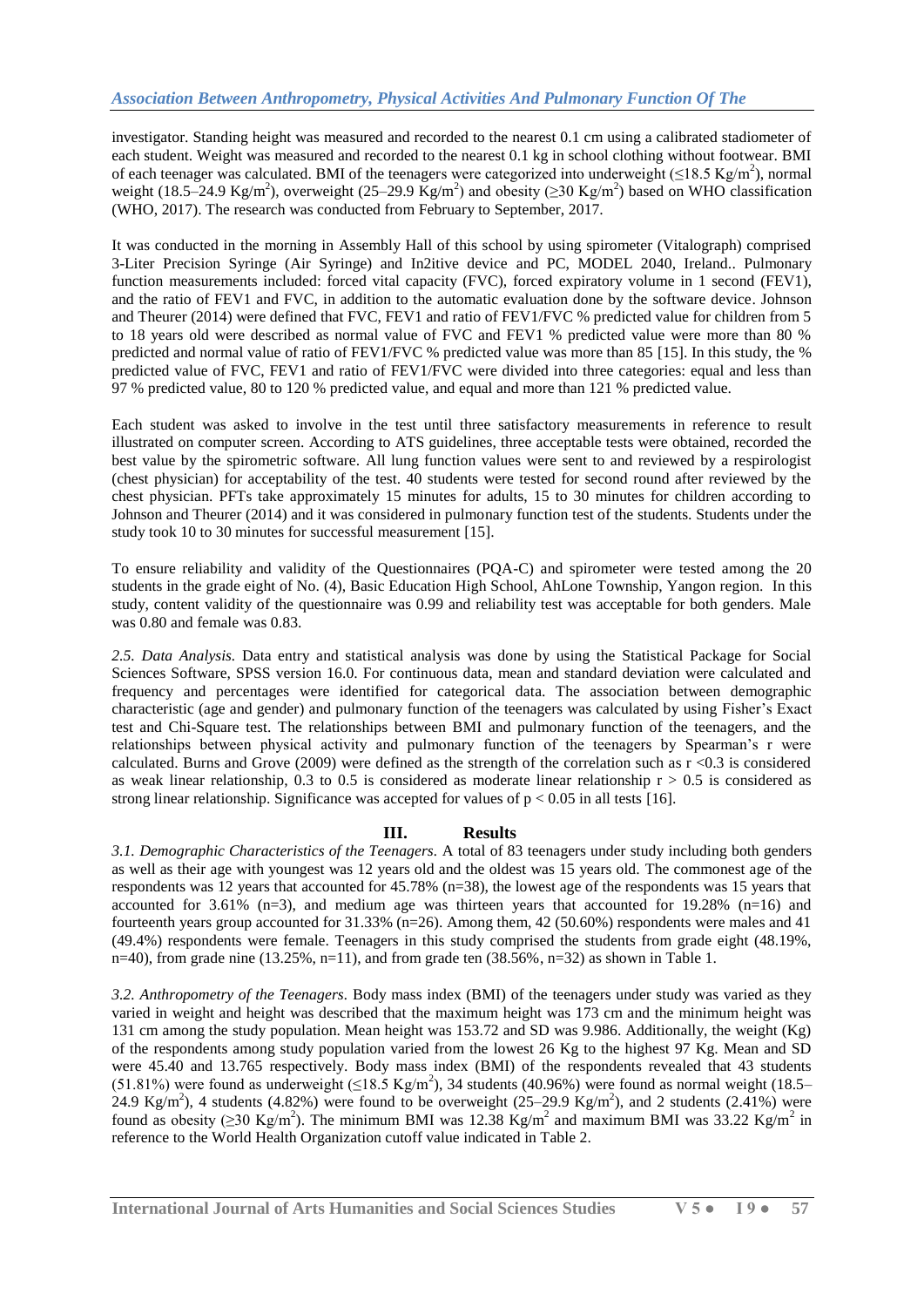investigator. Standing height was measured and recorded to the nearest 0.1 cm using a calibrated stadiometer of each student. Weight was measured and recorded to the nearest 0.1 kg in school clothing without footwear. BMI of each teenager was calculated. BMI of the teenagers were categorized into underweight ( $\leq$ 18.5 Kg/m<sup>2</sup>), normal weight (18.5–24.9 Kg/m<sup>2</sup>), overweight (25–29.9 Kg/m<sup>2</sup>) and obesity ( $\geq$ 30 Kg/m<sup>2</sup>) based on WHO classification (WHO, 2017). The research was conducted from February to September, 2017.

It was conducted in the morning in Assembly Hall of this school by using spirometer (Vitalograph) comprised 3-Liter Precision Syringe (Air Syringe) and In2itive device and PC, MODEL 2040, Ireland.. Pulmonary function measurements included: forced vital capacity (FVC), forced expiratory volume in 1 second (FEV1), and the ratio of FEV1 and FVC, in addition to the automatic evaluation done by the software device. Johnson and Theurer (2014) were defined that FVC, FEV1 and ratio of FEV1/FVC % predicted value for children from 5 to 18 years old were described as normal value of FVC and FEV1 % predicted value were more than 80 % predicted and normal value of ratio of FEV1/FVC % predicted value was more than 85 [15]. In this study, the % predicted value of FVC, FEV1 and ratio of FEV1/FVC were divided into three categories: equal and less than 97 % predicted value, 80 to 120 % predicted value, and equal and more than 121 % predicted value.

Each student was asked to involve in the test until three satisfactory measurements in reference to result illustrated on computer screen. According to ATS guidelines, three acceptable tests were obtained, recorded the best value by the spirometric software. All lung function values were sent to and reviewed by a respirologist (chest physician) for acceptability of the test. 40 students were tested for second round after reviewed by the chest physician. PFTs take approximately 15 minutes for adults, 15 to 30 minutes for children according to Johnson and Theurer (2014) and it was considered in pulmonary function test of the students. Students under the study took 10 to 30 minutes for successful measurement [15].

To ensure reliability and validity of the Questionnaires (PQA-C) and spirometer were tested among the 20 students in the grade eight of No. (4), Basic Education High School, AhLone Township, Yangon region. In this study, content validity of the questionnaire was 0.99 and reliability test was acceptable for both genders. Male was 0.80 and female was 0.83.

*2.5. Data Analysis.* Data entry and statistical analysis was done by using the Statistical Package for Social Sciences Software, SPSS version 16.0. For continuous data, mean and standard deviation were calculated and frequency and percentages were identified for categorical data. The association between demographic characteristic (age and gender) and pulmonary function of the teenagers was calculated by using Fisher's Exact test and Chi-Square test. The relationships between BMI and pulmonary function of the teenagers, and the relationships between physical activity and pulmonary function of the teenagers by Spearman's r were calculated. Burns and Grove (2009) were defined as the strength of the correlation such as  $r < 0.3$  is considered as weak linear relationship, 0.3 to 0.5 is considered as moderate linear relationship  $r > 0.5$  is considered as strong linear relationship. Significance was accepted for values of  $p < 0.05$  in all tests [16].

# **III. Results**

*3.1. Demographic Characteristics of the Teenagers.* A total of 83 teenagers under study including both genders as well as their age with youngest was 12 years old and the oldest was 15 years old. The commonest age of the respondents was 12 years that accounted for 45.78% (n=38), the lowest age of the respondents was 15 years that accounted for  $3.61\%$  (n=3), and medium age was thirteen years that accounted for  $19.28\%$  (n=16) and fourteenth years group accounted for 31.33% (n=26). Among them, 42 (50.60%) respondents were males and 41 (49.4%) respondents were female. Teenagers in this study comprised the students from grade eight (48.19%, n=40), from grade nine  $(13.25\%, n=11)$ , and from grade ten  $(38.56\%, n=32)$  as shown in Table 1.

*3.2. Anthropometry of the Teenagers.* Body mass index (BMI) of the teenagers under study was varied as they varied in weight and height was described that the maximum height was 173 cm and the minimum height was 131 cm among the study population. Mean height was 153.72 and SD was 9.986. Additionally, the weight (Kg) of the respondents among study population varied from the lowest 26 Kg to the highest 97 Kg. Mean and SD were 45.40 and 13.765 respectively. Body mass index (BMI) of the respondents revealed that 43 students (51.81%) were found as underweight ( $\leq$ 18.5 Kg/m<sup>2</sup>), 34 students (40.96%) were found as normal weight (18.5– 24.9 Kg/m<sup>2</sup>), 4 students (4.82%) were found to be overweight (25–29.9 Kg/m<sup>2</sup>), and 2 students (2.41%) were found as obesity ( $\geq$ 30 Kg/m<sup>2</sup>). The minimum BMI was 12.38 Kg/m<sup>2</sup> and maximum BMI was 33.22 Kg/m<sup>2</sup> in reference to the World Health Organization cutoff value indicated in Table 2.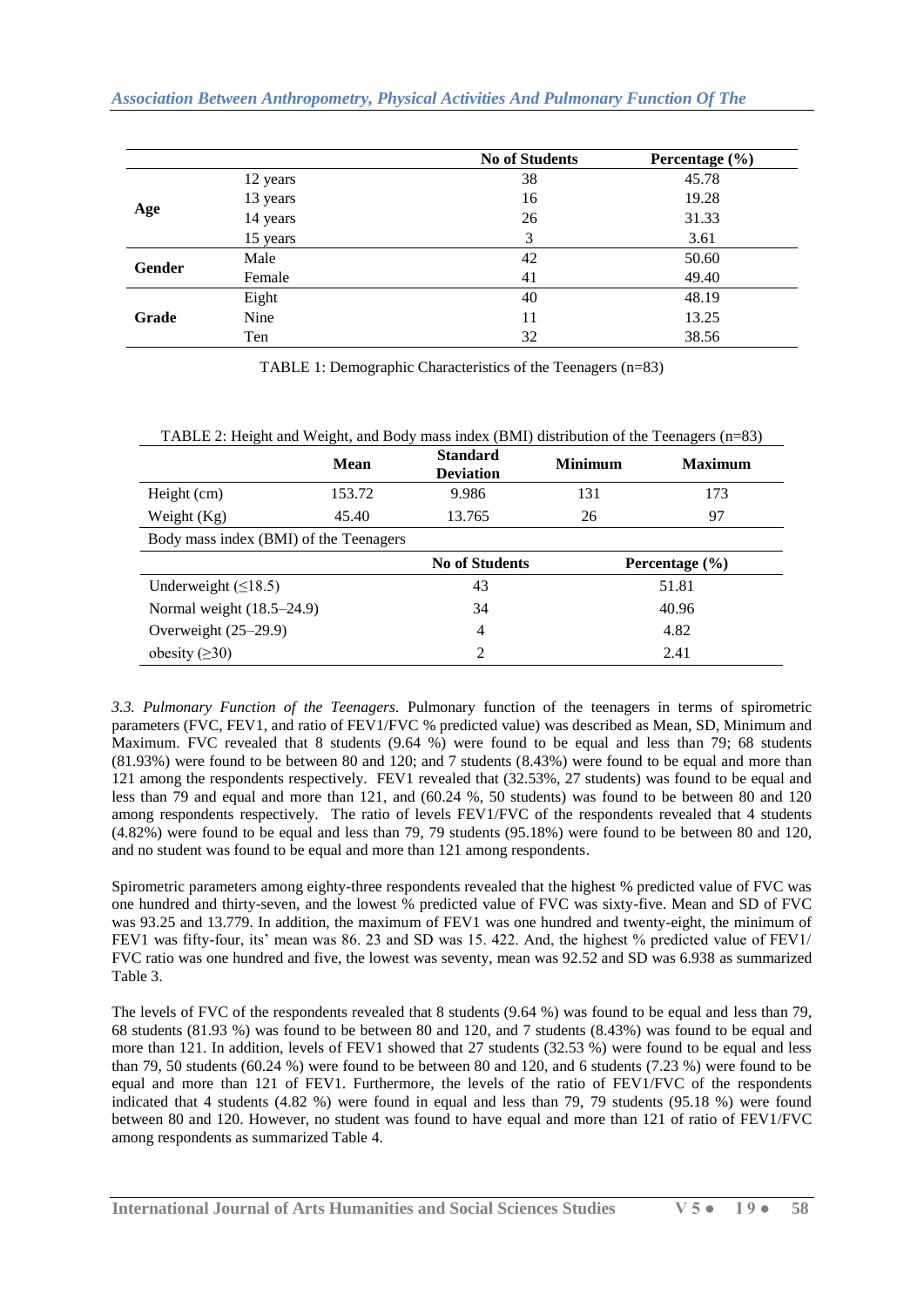|        |          | <b>No of Students</b> | Percentage $(\% )$ |
|--------|----------|-----------------------|--------------------|
|        | 12 years | 38                    | 45.78              |
|        | 13 years | 16                    | 19.28              |
| Age    | 14 years | 26                    | 31.33              |
|        | 15 years | 3                     | 3.61               |
|        | Male     | 42                    | 50.60              |
| Gender | Female   | 41                    | 49.40              |
|        | Eight    | 40                    | 48.19              |
| Grade  | Nine     | 11                    | 13.25              |
|        | Ten      | 32                    | 38.56              |

TABLE 1: Demographic Characteristics of the Teenagers (n=83)

|                                        | <b>Mean</b> | <b>Standard</b><br><b>Deviation</b> | <b>Minimum</b> | <b>Maximum</b>     |  |  |
|----------------------------------------|-------------|-------------------------------------|----------------|--------------------|--|--|
| Height (cm)                            | 153.72      | 9.986                               | 131<br>173     |                    |  |  |
| Weight $(Kg)$                          | 45.40       | 13.765                              | 26             | 97                 |  |  |
| Body mass index (BMI) of the Teenagers |             |                                     |                |                    |  |  |
|                                        |             | <b>No of Students</b>               |                | Percentage $(\% )$ |  |  |
| Underweight $( \leq 18.5)$             | 51.81<br>43 |                                     |                |                    |  |  |
| Normal weight $(18.5-24.9)$            |             | 34                                  | 40.96          |                    |  |  |
| Overweight $(25-29.9)$                 |             | 4                                   | 4.82           |                    |  |  |
| obesity $(\geq 30)$                    |             | ↑                                   | 2.41           |                    |  |  |

TABLE 2: Height and Weight, and Body mass index (BMI) distribution of the Teenagers (n=83)

*3.3. Pulmonary Function of the Teenagers.* Pulmonary function of the teenagers in terms of spirometric parameters (FVC, FEV1, and ratio of FEV1/FVC % predicted value) was described as Mean, SD, Minimum and Maximum. FVC revealed that 8 students (9.64 %) were found to be equal and less than 79; 68 students (81.93%) were found to be between 80 and 120; and 7 students (8.43%) were found to be equal and more than 121 among the respondents respectively. FEV1 revealed that (32.53%, 27 students) was found to be equal and less than 79 and equal and more than 121, and (60.24 %, 50 students) was found to be between 80 and 120 among respondents respectively. The ratio of levels FEV1/FVC of the respondents revealed that 4 students (4.82%) were found to be equal and less than 79, 79 students (95.18%) were found to be between 80 and 120, and no student was found to be equal and more than 121 among respondents.

Spirometric parameters among eighty-three respondents revealed that the highest % predicted value of FVC was one hundred and thirty-seven, and the lowest % predicted value of FVC was sixty-five. Mean and SD of FVC was 93.25 and 13.779. In addition, the maximum of FEV1 was one hundred and twenty-eight, the minimum of FEV1 was fifty-four, its' mean was 86. 23 and SD was 15. 422. And, the highest % predicted value of FEV1/ FVC ratio was one hundred and five, the lowest was seventy, mean was 92.52 and SD was 6.938 as summarized Table 3.

The levels of FVC of the respondents revealed that 8 students (9.64 %) was found to be equal and less than 79, 68 students (81.93 %) was found to be between 80 and 120, and 7 students (8.43%) was found to be equal and more than 121. In addition, levels of FEV1 showed that 27 students (32.53 %) were found to be equal and less than 79, 50 students (60.24 %) were found to be between 80 and 120, and 6 students (7.23 %) were found to be equal and more than 121 of FEV1. Furthermore, the levels of the ratio of FEV1/FVC of the respondents indicated that 4 students (4.82 %) were found in equal and less than 79, 79 students (95.18 %) were found between 80 and 120. However, no student was found to have equal and more than 121 of ratio of FEV1/FVC among respondents as summarized Table 4.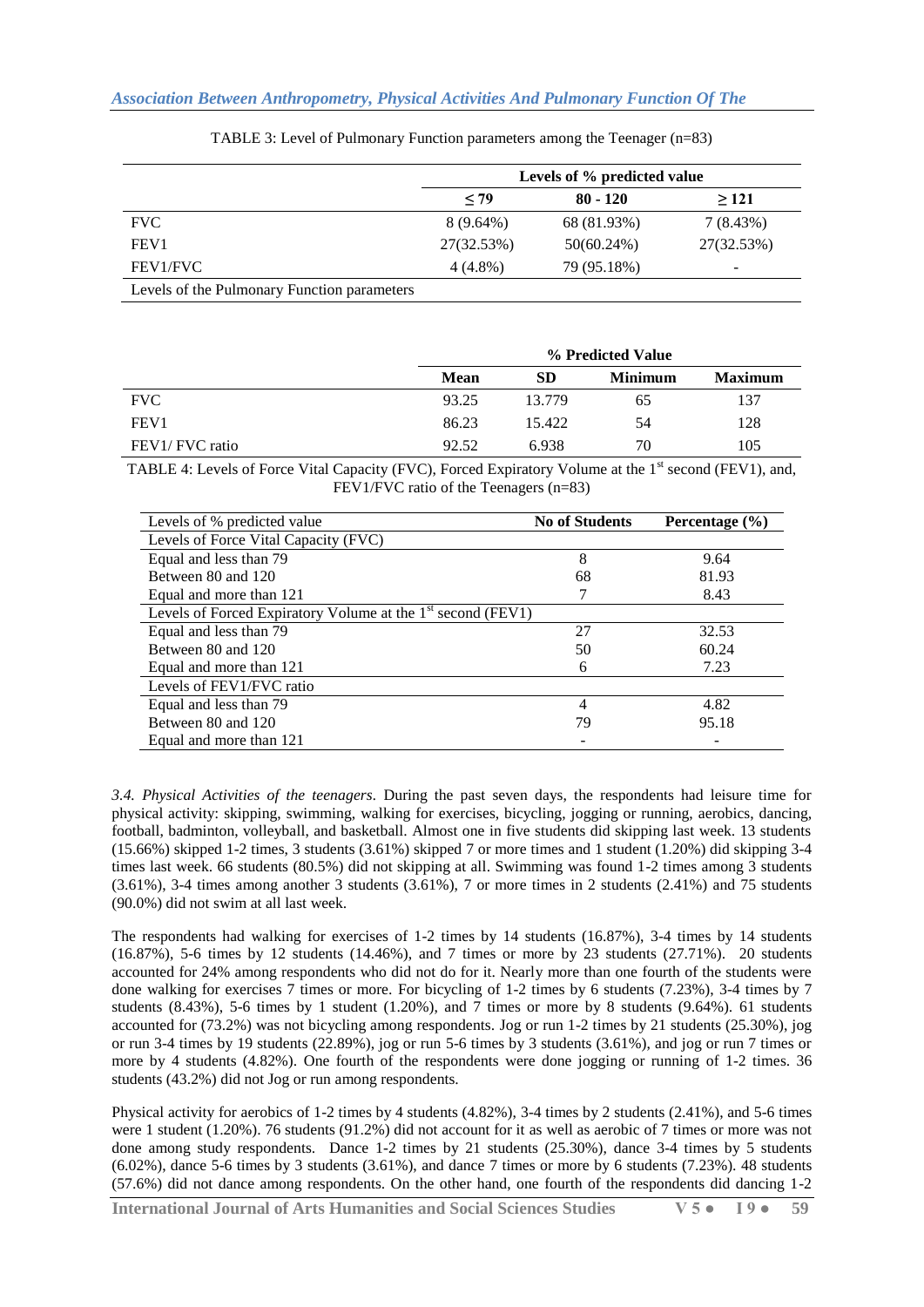|                                             | Levels of % predicted value |               |            |  |  |  |  |
|---------------------------------------------|-----------------------------|---------------|------------|--|--|--|--|
|                                             | ~10                         | $80 - 120$    | >121       |  |  |  |  |
| <b>FVC</b>                                  | $8(9.64\%)$                 | 68 (81.93%)   | 7(8.43%)   |  |  |  |  |
| FEV <sub>1</sub>                            | 27(32.53%)                  | $50(60.24\%)$ | 27(32.53%) |  |  |  |  |
| FEV1/FVC                                    | $4(4.8\%)$                  | 79 (95.18%)   | -          |  |  |  |  |
| Levels of the Pulmonary Function parameters |                             |               |            |  |  |  |  |

TABLE 3: Level of Pulmonary Function parameters among the Teenager (n=83)

|                  | % Predicted Value |        |                |                |  |  |
|------------------|-------------------|--------|----------------|----------------|--|--|
|                  | <b>Mean</b>       | SD     | <b>Minimum</b> | <b>Maximum</b> |  |  |
| <b>FVC</b>       | 93.25             | 13.779 | 65             | 137            |  |  |
| FEV <sub>1</sub> | 86.23             | 15.422 | 54             | 128            |  |  |
| FEV1/FVC ratio   | 92.52             | 6.938  | 70             | 105            |  |  |

TABLE 4: Levels of Force Vital Capacity (FVC), Forced Expiratory Volume at the 1<sup>st</sup> second (FEV1), and, FEV1/FVC ratio of the Teenagers (n=83)

| Levels of % predicted value                                   | <b>No of Students</b> | Percentage $(\% )$ |
|---------------------------------------------------------------|-----------------------|--------------------|
| Levels of Force Vital Capacity (FVC)                          |                       |                    |
| Equal and less than 79                                        | 8                     | 9.64               |
| Between 80 and 120                                            | 68                    | 81.93              |
| Equal and more than 121                                       |                       | 8.43               |
| Levels of Forced Expiratory Volume at the $1st$ second (FEV1) |                       |                    |
| Equal and less than 79                                        | 27                    | 32.53              |
| Between 80 and 120                                            | 50                    | 60.24              |
| Equal and more than 121                                       | 6                     | 7.23               |
| Levels of FEV1/FVC ratio                                      |                       |                    |
| Equal and less than 79                                        | 4                     | 4.82               |
| Between 80 and 120                                            | 79                    | 95.18              |
| Equal and more than 121                                       |                       |                    |

*3.4. Physical Activities of the teenagers.* During the past seven days, the respondents had leisure time for physical activity: skipping, swimming, walking for exercises, bicycling, jogging or running, aerobics, dancing, football, badminton, volleyball, and basketball. Almost one in five students did skipping last week. 13 students (15.66%) skipped 1-2 times, 3 students (3.61%) skipped 7 or more times and 1 student (1.20%) did skipping 3-4 times last week. 66 students (80.5%) did not skipping at all. Swimming was found 1-2 times among 3 students (3.61%), 3-4 times among another 3 students (3.61%), 7 or more times in 2 students (2.41%) and 75 students (90.0%) did not swim at all last week.

The respondents had walking for exercises of 1-2 times by 14 students (16.87%), 3-4 times by 14 students (16.87%), 5-6 times by 12 students (14.46%), and 7 times or more by 23 students (27.71%). 20 students accounted for 24% among respondents who did not do for it. Nearly more than one fourth of the students were done walking for exercises 7 times or more. For bicycling of 1-2 times by 6 students (7.23%), 3-4 times by 7 students (8.43%), 5-6 times by 1 student (1.20%), and 7 times or more by 8 students (9.64%). 61 students accounted for (73.2%) was not bicycling among respondents. Jog or run 1-2 times by 21 students (25.30%), jog or run 3-4 times by 19 students (22.89%), jog or run 5-6 times by 3 students (3.61%), and jog or run 7 times or more by 4 students (4.82%). One fourth of the respondents were done jogging or running of 1-2 times. 36 students (43.2%) did not Jog or run among respondents.

Physical activity for aerobics of 1-2 times by 4 students (4.82%), 3-4 times by 2 students (2.41%), and 5-6 times were 1 student (1.20%). 76 students (91.2%) did not account for it as well as aerobic of 7 times or more was not done among study respondents. Dance 1-2 times by 21 students (25.30%), dance 3-4 times by 5 students (6.02%), dance 5-6 times by 3 students (3.61%), and dance 7 times or more by 6 students (7.23%). 48 students (57.6%) did not dance among respondents. On the other hand, one fourth of the respondents did dancing 1-2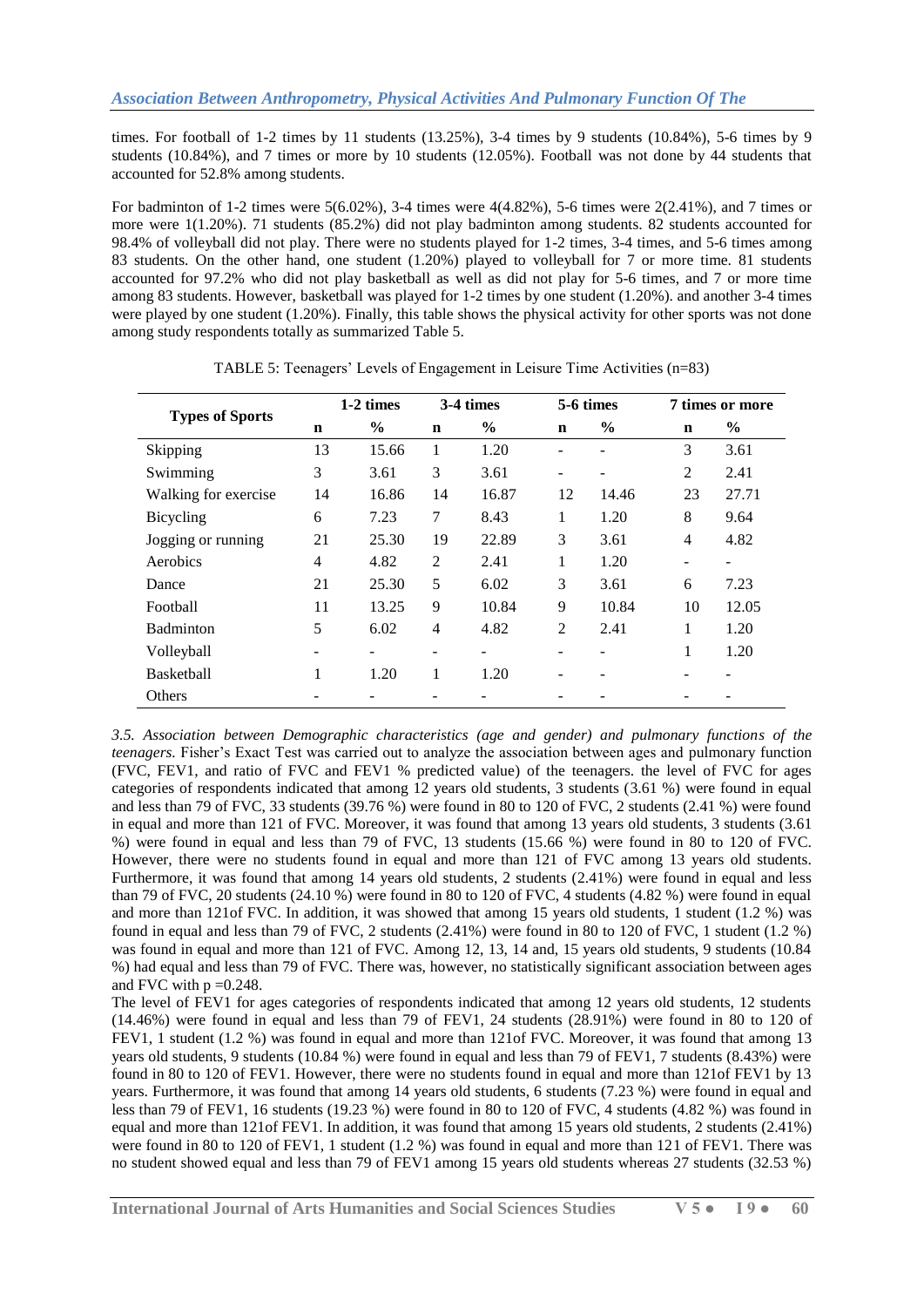times. For football of 1-2 times by 11 students (13.25%), 3-4 times by 9 students (10.84%), 5-6 times by 9 students (10.84%), and 7 times or more by 10 students (12.05%). Football was not done by 44 students that accounted for 52.8% among students.

For badminton of 1-2 times were 5(6.02%), 3-4 times were 4(4.82%), 5-6 times were 2(2.41%), and 7 times or more were 1(1.20%). 71 students (85.2%) did not play badminton among students. 82 students accounted for 98.4% of volleyball did not play. There were no students played for 1-2 times, 3-4 times, and 5-6 times among 83 students. On the other hand, one student (1.20%) played to volleyball for 7 or more time. 81 students accounted for 97.2% who did not play basketball as well as did not play for 5-6 times, and 7 or more time among 83 students. However, basketball was played for 1-2 times by one student (1.20%). and another 3-4 times were played by one student (1.20%). Finally, this table shows the physical activity for other sports was not done among study respondents totally as summarized Table 5.

|                        | 1-2 times                    |       | 3-4 times      |       | 5-6 times      |               | 7 times or more   |       |
|------------------------|------------------------------|-------|----------------|-------|----------------|---------------|-------------------|-------|
| <b>Types of Sports</b> | $\mathbf n$                  | $\%$  | $\mathbf n$    | $\%$  | n              | $\frac{6}{9}$ | n                 | $\%$  |
| Skipping               | 13                           | 15.66 | 1              | 1.20  |                |               | 3                 | 3.61  |
| Swimming               | 3                            | 3.61  | 3              | 3.61  |                |               | $\overline{2}$    | 2.41  |
| Walking for exercise   | 14                           | 16.86 | 14             | 16.87 | 12             | 14.46         | 23                | 27.71 |
| Bicycling              | 6                            | 7.23  | 7              | 8.43  | 1              | 1.20          | 8                 | 9.64  |
| Jogging or running     | 21                           | 25.30 | 19             | 22.89 | 3              | 3.61          | $\overline{4}$    | 4.82  |
| Aerobics               | $\overline{4}$               | 4.82  | $\overline{2}$ | 2.41  | 1              | 1.20          | $\qquad \qquad -$ |       |
| Dance                  | 21                           | 25.30 | 5              | 6.02  | 3              | 3.61          | 6                 | 7.23  |
| Football               | 11                           | 13.25 | 9              | 10.84 | 9              | 10.84         | 10                | 12.05 |
| <b>Badminton</b>       | 5                            | 6.02  | $\overline{4}$ | 4.82  | $\overline{2}$ | 2.41          | 1                 | 1.20  |
| Volleyball             | $\qquad \qquad \blacksquare$ |       | -              |       |                |               | 1<br>-            | 1.20  |
| <b>Basketball</b>      | 1                            | 1.20  | 1              | 1.20  |                |               | -                 | ۰     |
| Others                 |                              |       |                |       |                |               |                   |       |

TABLE 5: Teenagers' Levels of Engagement in Leisure Time Activities (n=83)

*3.5. Association between Demographic characteristics (age and gender) and pulmonary functions of the teenagers.* Fisher's Exact Test was carried out to analyze the association between ages and pulmonary function (FVC, FEV1, and ratio of FVC and FEV1 % predicted value) of the teenagers. the level of FVC for ages categories of respondents indicated that among 12 years old students, 3 students (3.61 %) were found in equal and less than 79 of FVC, 33 students (39.76 %) were found in 80 to 120 of FVC, 2 students (2.41 %) were found in equal and more than 121 of FVC. Moreover, it was found that among 13 years old students, 3 students (3.61 %) were found in equal and less than 79 of FVC, 13 students (15.66 %) were found in 80 to 120 of FVC. However, there were no students found in equal and more than 121 of FVC among 13 years old students. Furthermore, it was found that among 14 years old students, 2 students (2.41%) were found in equal and less than 79 of FVC, 20 students (24.10 %) were found in 80 to 120 of FVC, 4 students (4.82 %) were found in equal and more than 121of FVC. In addition, it was showed that among 15 years old students, 1 student (1.2 %) was found in equal and less than 79 of FVC, 2 students (2.41%) were found in 80 to 120 of FVC, 1 student (1.2 %) was found in equal and more than 121 of FVC. Among 12, 13, 14 and, 15 years old students, 9 students (10.84) %) had equal and less than 79 of FVC. There was, however, no statistically significant association between ages and FVC with  $p = 0.248$ .

The level of FEV1 for ages categories of respondents indicated that among 12 years old students, 12 students (14.46%) were found in equal and less than 79 of FEV1, 24 students (28.91%) were found in 80 to 120 of FEV1, 1 student (1.2 %) was found in equal and more than 121of FVC. Moreover, it was found that among 13 years old students, 9 students (10.84 %) were found in equal and less than 79 of FEV1, 7 students (8.43%) were found in 80 to 120 of FEV1. However, there were no students found in equal and more than 121of FEV1 by 13 years. Furthermore, it was found that among 14 years old students, 6 students (7.23 %) were found in equal and less than 79 of FEV1, 16 students (19.23 %) were found in 80 to 120 of FVC, 4 students (4.82 %) was found in equal and more than 121of FEV1. In addition, it was found that among 15 years old students, 2 students (2.41%) were found in 80 to 120 of FEV1, 1 student (1.2 %) was found in equal and more than 121 of FEV1. There was no student showed equal and less than 79 of FEV1 among 15 years old students whereas 27 students (32.53 %)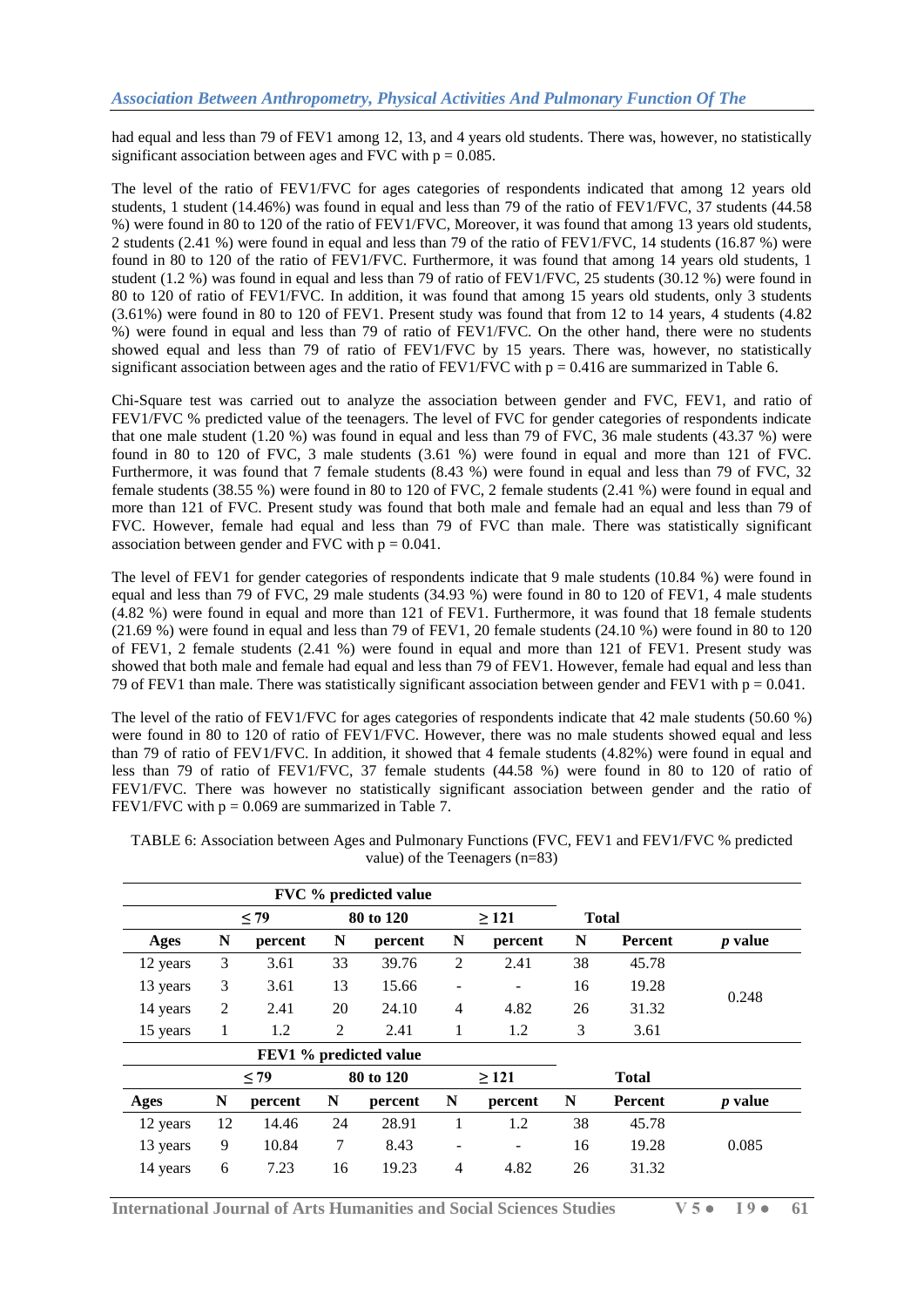had equal and less than 79 of FEV1 among 12, 13, and 4 years old students. There was, however, no statistically significant association between ages and FVC with  $p = 0.085$ .

The level of the ratio of FEV1/FVC for ages categories of respondents indicated that among 12 years old students, 1 student (14.46%) was found in equal and less than 79 of the ratio of FEV1/FVC, 37 students (44.58) %) were found in 80 to 120 of the ratio of FEV1/FVC, Moreover, it was found that among 13 years old students, 2 students (2.41 %) were found in equal and less than 79 of the ratio of FEV1/FVC, 14 students (16.87 %) were found in 80 to 120 of the ratio of FEV1/FVC. Furthermore, it was found that among 14 years old students, 1 student (1.2 %) was found in equal and less than 79 of ratio of FEV1/FVC, 25 students (30.12 %) were found in 80 to 120 of ratio of FEV1/FVC. In addition, it was found that among 15 years old students, only 3 students (3.61%) were found in 80 to 120 of FEV1. Present study was found that from 12 to 14 years, 4 students (4.82 %) were found in equal and less than 79 of ratio of FEV1/FVC. On the other hand, there were no students showed equal and less than 79 of ratio of FEV1/FVC by 15 years. There was, however, no statistically significant association between ages and the ratio of FEV1/FVC with  $p = 0.416$  are summarized in Table 6.

Chi-Square test was carried out to analyze the association between gender and FVC, FEV1, and ratio of FEV1/FVC % predicted value of the teenagers. The level of FVC for gender categories of respondents indicate that one male student (1.20 %) was found in equal and less than 79 of FVC, 36 male students (43.37 %) were found in 80 to 120 of FVC, 3 male students (3.61 %) were found in equal and more than 121 of FVC. Furthermore, it was found that 7 female students (8.43 %) were found in equal and less than 79 of FVC, 32 female students (38.55 %) were found in 80 to 120 of FVC, 2 female students (2.41 %) were found in equal and more than 121 of FVC. Present study was found that both male and female had an equal and less than 79 of FVC. However, female had equal and less than 79 of FVC than male. There was statistically significant association between gender and FVC with  $p = 0.041$ .

The level of FEV1 for gender categories of respondents indicate that 9 male students (10.84 %) were found in equal and less than 79 of FVC, 29 male students (34.93 %) were found in 80 to 120 of FEV1, 4 male students (4.82 %) were found in equal and more than 121 of FEV1. Furthermore, it was found that 18 female students (21.69 %) were found in equal and less than 79 of FEV1, 20 female students (24.10 %) were found in 80 to 120 of FEV1, 2 female students (2.41 %) were found in equal and more than 121 of FEV1. Present study was showed that both male and female had equal and less than 79 of FEV1. However, female had equal and less than 79 of FEV1 than male. There was statistically significant association between gender and FEV1 with  $p = 0.041$ .

The level of the ratio of FEV1/FVC for ages categories of respondents indicate that 42 male students (50.60 %) were found in 80 to 120 of ratio of FEV1/FVC. However, there was no male students showed equal and less than 79 of ratio of FEV1/FVC. In addition, it showed that 4 female students (4.82%) were found in equal and less than 79 of ratio of FEV1/FVC, 37 female students (44.58 %) were found in 80 to 120 of ratio of FEV1/FVC. There was however no statistically significant association between gender and the ratio of FEV1/FVC with  $p = 0.069$  are summarized in Table 7.

|             |    |           |    | FVC % predicted value  |                              |                      |    |                |                |
|-------------|----|-----------|----|------------------------|------------------------------|----------------------|----|----------------|----------------|
|             |    | < 79      |    | 80 to 120              |                              | >121                 |    | <b>Total</b>   |                |
| <b>Ages</b> | N  | percent   | N  | percent                | N                            | percent              | N  | Percent        | <i>p</i> value |
| 12 years    | 3  | 3.61      | 33 | 39.76                  | 2                            | 2.41                 | 38 | 45.78          |                |
| 13 years    | 3  | 3.61      | 13 | 15.66                  | $\qquad \qquad \blacksquare$ |                      | 16 | 19.28          |                |
| 14 years    | 2  | 2.41      | 20 | 24.10                  | 4                            | 4.82                 | 26 | 31.32          | 0.248          |
| 15 years    | 1  | 1.2       | 2  | 2.41                   | 1                            | 1.2                  | 3  | 3.61           |                |
|             |    |           |    | FEV1 % predicted value |                              |                      |    |                |                |
|             |    | $\leq$ 79 |    | 80 to 120              |                              | >121<br><b>Total</b> |    |                |                |
| Ages        | N  | percent   | N  | percent                | N                            | percent              | N  | <b>Percent</b> | <i>p</i> value |
| 12 years    | 12 | 14.46     | 24 | 28.91                  | 1                            | 1.2                  | 38 | 45.78          |                |
| 13 years    | 9  | 10.84     | 7  | 8.43                   | ۰                            |                      | 16 | 19.28          | 0.085          |
| 14 years    | 6  | 7.23      | 16 | 19.23                  | 4                            | 4.82                 | 26 | 31.32          |                |

TABLE 6: Association between Ages and Pulmonary Functions (FVC, FEV1 and FEV1/FVC % predicted value) of the Teenagers (n=83)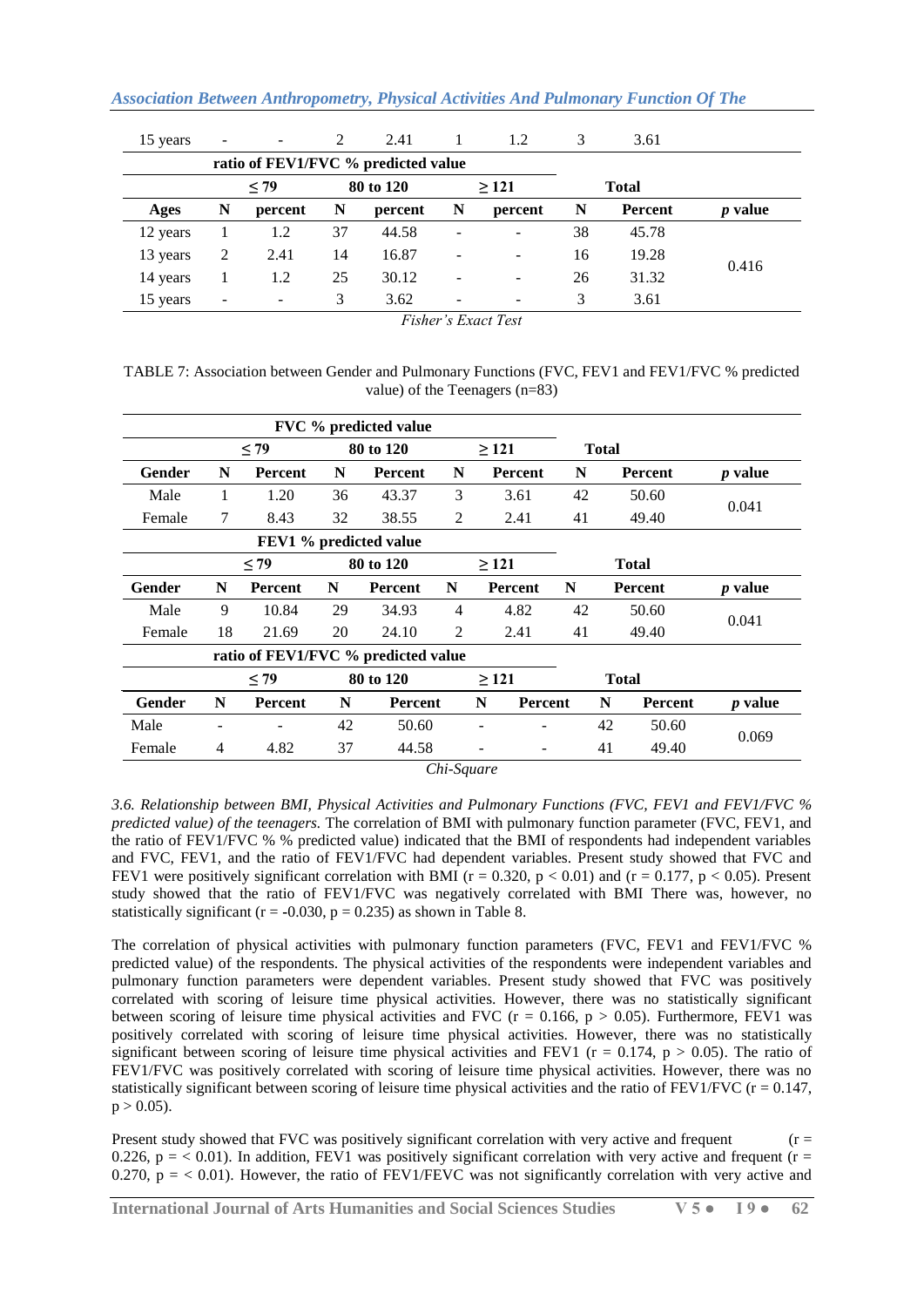| 15 years | $\overline{\phantom{a}}$            |         | 2  | 2.41      |   | 1.2     | 3  | 3.61         |                |  |  |
|----------|-------------------------------------|---------|----|-----------|---|---------|----|--------------|----------------|--|--|
|          | ratio of FEV1/FVC % predicted value |         |    |           |   |         |    |              |                |  |  |
|          |                                     | < 79    |    | 80 to 120 |   | >121    |    | <b>Total</b> |                |  |  |
| Ages     | N                                   | percent | N  | percent   | N | percent | N  | Percent      | <i>p</i> value |  |  |
| 12 years |                                     | 1.2     | 37 | 44.58     |   |         | 38 | 45.78        |                |  |  |
| 13 years | 2                                   | 2.41    | 14 | 16.87     |   | -       | 16 | 19.28        | 0.416          |  |  |
| 14 years |                                     | 1.2     | 25 | 30.12     |   |         | 26 | 31.32        |                |  |  |
| 15 years | $\overline{\phantom{a}}$            |         | 3  | 3.62      |   |         | 3  | 3.61         |                |  |  |

*Fisher's Exact Test*

TABLE 7: Association between Gender and Pulmonary Functions (FVC, FEV1 and FEV1/FVC % predicted value) of the Teenagers (n=83)

|                        |    |           |           | FVC % predicted value               |                      |            |                |    |              |                |                |
|------------------------|----|-----------|-----------|-------------------------------------|----------------------|------------|----------------|----|--------------|----------------|----------------|
|                        |    | < 79      |           | 80 to 120                           |                      | >121       |                |    | <b>Total</b> |                |                |
| Gender                 | N  | Percent   | N         | Percent                             | N                    |            | <b>Percent</b> | N  |              | <b>Percent</b> | <i>p</i> value |
| Male                   | 1  | 1.20      | 36        | 43.37                               | 3                    |            | 3.61           | 42 |              | 50.60          | 0.041          |
| Female                 | 7  | 8.43      | 32        | 38.55                               | 2                    |            | 2.41           | 41 |              | 49.40          |                |
| FEV1 % predicted value |    |           |           |                                     |                      |            |                |    |              |                |                |
|                        |    | $\leq$ 79 |           | 80 to 120                           |                      | $\geq$ 121 |                |    |              | <b>Total</b>   |                |
| Gender                 | N  | Percent   | N         | Percent                             | N                    |            | Percent        | N  |              | Percent        | <i>p</i> value |
| Male                   | 9  | 10.84     | 29        | 34.93                               | 4                    |            | 4.82           | 42 |              | 50.60          | 0.041          |
| Female                 | 18 | 21.69     | 20        | 24.10                               | $\overline{2}$       |            | 2.41           | 41 |              | 49.40          |                |
|                        |    |           |           | ratio of FEV1/FVC % predicted value |                      |            |                |    |              |                |                |
|                        |    | $<$ 79    | 80 to 120 |                                     |                      | $\geq$ 121 |                |    | <b>Total</b> |                |                |
| Gender                 | N  | Percent   | N         | <b>Percent</b>                      |                      | N          | Percent        |    | N            | Percent        | <i>p</i> value |
| Male                   |    |           | 42        | 50.60                               |                      |            |                |    | 42           | 50.60          | 0.069          |
| Female                 | 4  | 4.82      | 37        | 44.58                               |                      |            |                |    | 41           | 49.40          |                |
|                        |    |           |           |                                     | $\sim$ $\sim$ $\sim$ |            |                |    |              |                |                |

*Chi-Square*

*3.6. Relationship between BMI, Physical Activities and Pulmonary Functions (FVC, FEV1 and FEV1/FVC % predicted value) of the teenagers.* The correlation of BMI with pulmonary function parameter (FVC, FEV1, and the ratio of FEV1/FVC % % predicted value) indicated that the BMI of respondents had independent variables and FVC, FEV1, and the ratio of FEV1/FVC had dependent variables. Present study showed that FVC and FEV1 were positively significant correlation with BMI ( $r = 0.320$ ,  $p < 0.01$ ) and ( $r = 0.177$ ,  $p < 0.05$ ). Present study showed that the ratio of FEV1/FVC was negatively correlated with BMI There was, however, no statistically significant ( $r = -0.030$ ,  $p = 0.235$ ) as shown in Table 8.

The correlation of physical activities with pulmonary function parameters (FVC, FEV1 and FEV1/FVC % predicted value) of the respondents. The physical activities of the respondents were independent variables and pulmonary function parameters were dependent variables. Present study showed that FVC was positively correlated with scoring of leisure time physical activities. However, there was no statistically significant between scoring of leisure time physical activities and FVC ( $r = 0.166$ ,  $p > 0.05$ ). Furthermore, FEV1 was positively correlated with scoring of leisure time physical activities. However, there was no statistically significant between scoring of leisure time physical activities and FEV1 ( $r = 0.174$ ,  $p > 0.05$ ). The ratio of FEV1/FVC was positively correlated with scoring of leisure time physical activities. However, there was no statistically significant between scoring of leisure time physical activities and the ratio of  $FEV1/FVC$  ( $r = 0.147$ ,  $p > 0.05$ ).

Present study showed that FVC was positively significant correlation with very active and frequent  $(r =$ 0.226,  $p = 0.01$ ). In addition, FEV1 was positively significant correlation with very active and frequent ( $r =$ 0.270,  $p = < 0.01$ ). However, the ratio of FEV1/FEVC was not significantly correlation with very active and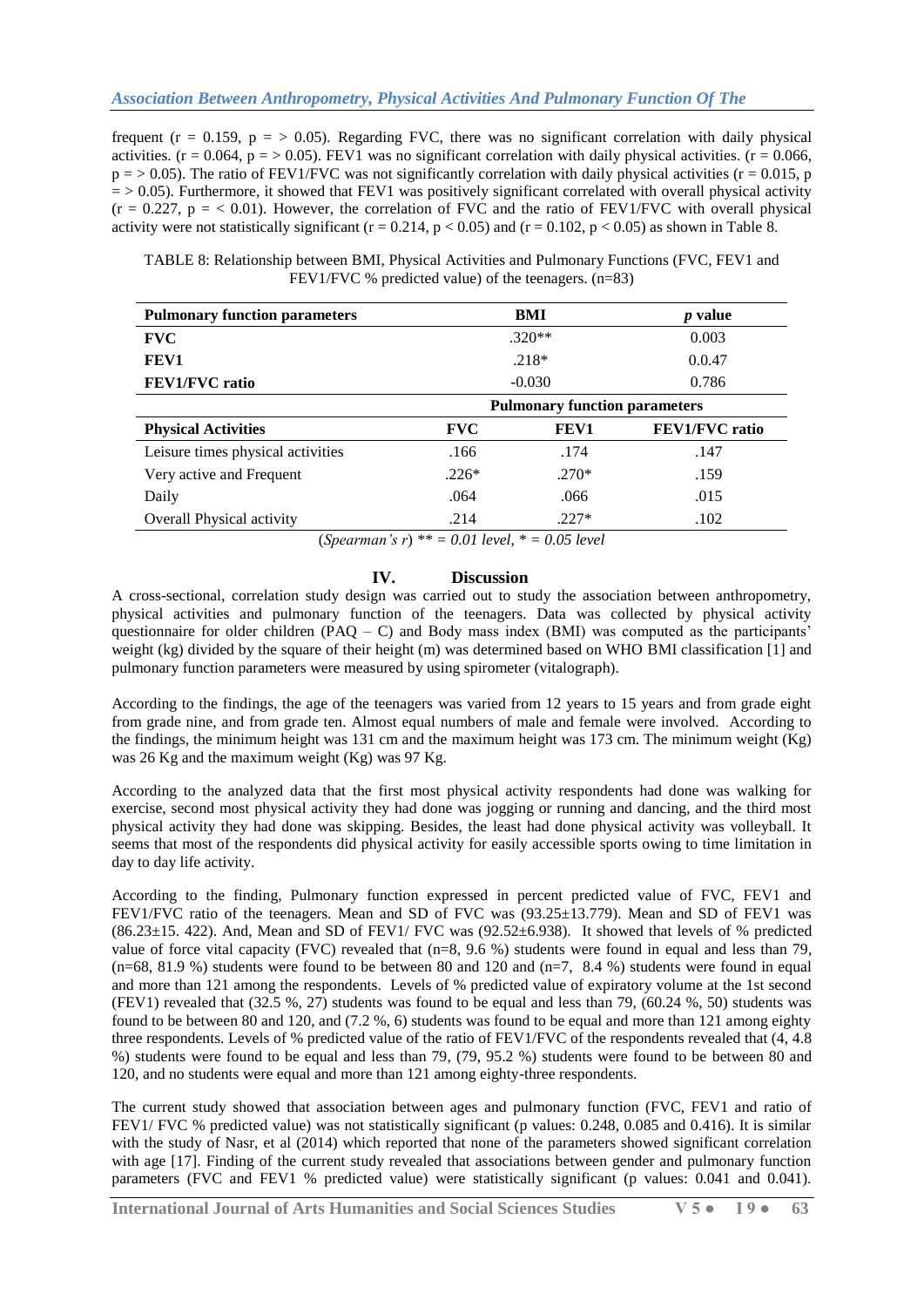frequent ( $r = 0.159$ ,  $p = > 0.05$ ). Regarding FVC, there was no significant correlation with daily physical activities. ( $r = 0.064$ ,  $p = > 0.05$ ). FEV1 was no significant correlation with daily physical activities. ( $r = 0.066$ ,  $p = 0.05$ ). The ratio of FEV1/FVC was not significantly correlation with daily physical activities (r = 0.015, p  $=$  > 0.05). Furthermore, it showed that FEV1 was positively significant correlated with overall physical activity  $(r = 0.227, p = 0.01)$ . However, the correlation of FVC and the ratio of FEV1/FVC with overall physical activity were not statistically significant ( $r = 0.214$ ,  $p < 0.05$ ) and ( $r = 0.102$ ,  $p < 0.05$ ) as shown in Table 8.

| TABLE 8: Relationship between BMI, Physical Activities and Pulmonary Functions (FVC, FEV1 and |  |
|-----------------------------------------------------------------------------------------------|--|
| FEV1/FVC % predicted value) of the teenagers. $(n=83)$                                        |  |

| <b>Pulmonary function parameters</b> |                                      | BMI      | <i>p</i> value        |  |  |  |  |
|--------------------------------------|--------------------------------------|----------|-----------------------|--|--|--|--|
| <b>FVC</b>                           |                                      | $.320**$ | 0.003                 |  |  |  |  |
| FEV1                                 |                                      | $.218*$  | 0.0.47                |  |  |  |  |
| <b>FEV1/FVC</b> ratio                | $-0.030$                             | 0.786    |                       |  |  |  |  |
|                                      | <b>Pulmonary function parameters</b> |          |                       |  |  |  |  |
| <b>Physical Activities</b>           | <b>FVC</b>                           | FEV1     | <b>FEV1/FVC</b> ratio |  |  |  |  |
| Leisure times physical activities    | .166                                 | .174     | .147                  |  |  |  |  |
| Very active and Frequent             | $.226*$                              | $.270*$  | .159                  |  |  |  |  |
| Daily                                | .064                                 | .066     | .015                  |  |  |  |  |
| Overall Physical activity            | .214                                 | $.227*$  | .102                  |  |  |  |  |

(*Spearman's r*) *\*\* = 0.01 level, \* = 0.05 level*

# **IV. Discussion**

A cross-sectional, correlation study design was carried out to study the association between anthropometry, physical activities and pulmonary function of the teenagers. Data was collected by physical activity questionnaire for older children  $(PAQ - C)$  and Body mass index (BMI) was computed as the participants' weight (kg) divided by the square of their height (m) was determined based on WHO BMI classification [1] and pulmonary function parameters were measured by using spirometer (vitalograph).

According to the findings, the age of the teenagers was varied from 12 years to 15 years and from grade eight from grade nine, and from grade ten. Almost equal numbers of male and female were involved. According to the findings, the minimum height was 131 cm and the maximum height was 173 cm. The minimum weight (Kg) was 26 Kg and the maximum weight (Kg) was 97 Kg.

According to the analyzed data that the first most physical activity respondents had done was walking for exercise, second most physical activity they had done was jogging or running and dancing, and the third most physical activity they had done was skipping. Besides, the least had done physical activity was volleyball. It seems that most of the respondents did physical activity for easily accessible sports owing to time limitation in day to day life activity.

According to the finding, Pulmonary function expressed in percent predicted value of FVC, FEV1 and FEV1/FVC ratio of the teenagers. Mean and SD of FVC was (93.25±13.779). Mean and SD of FEV1 was (86.23±15. 422). And, Mean and SD of FEV1/ FVC was (92.52±6.938).It showed that levels of % predicted value of force vital capacity (FVC) revealed that  $(n=8, 9.6%)$  students were found in equal and less than 79,  $(n=68, 81.9 \%)$  students were found to be between 80 and 120 and  $(n=7, 8.4 \%)$  students were found in equal and more than 121 among the respondents. Levels of % predicted value of expiratory volume at the 1st second (FEV1) revealed that (32.5 %, 27) students was found to be equal and less than 79, (60.24 %, 50) students was found to be between 80 and 120, and (7.2 %, 6) students was found to be equal and more than 121 among eighty three respondents. Levels of % predicted value of the ratio of FEV1/FVC of the respondents revealed that (4, 4.8 %) students were found to be equal and less than 79, (79, 95.2 %) students were found to be between 80 and 120, and no students were equal and more than 121 among eighty-three respondents.

The current study showed that association between ages and pulmonary function (FVC, FEV1 and ratio of FEV1/ FVC % predicted value) was not statistically significant (p values: 0.248, 0.085 and 0.416). It is similar with the study of Nasr, et al (2014) which reported that none of the parameters showed significant correlation with age [17]. Finding of the current study revealed that associations between gender and pulmonary function parameters (FVC and FEV1 % predicted value) were statistically significant (p values: 0.041 and 0.041).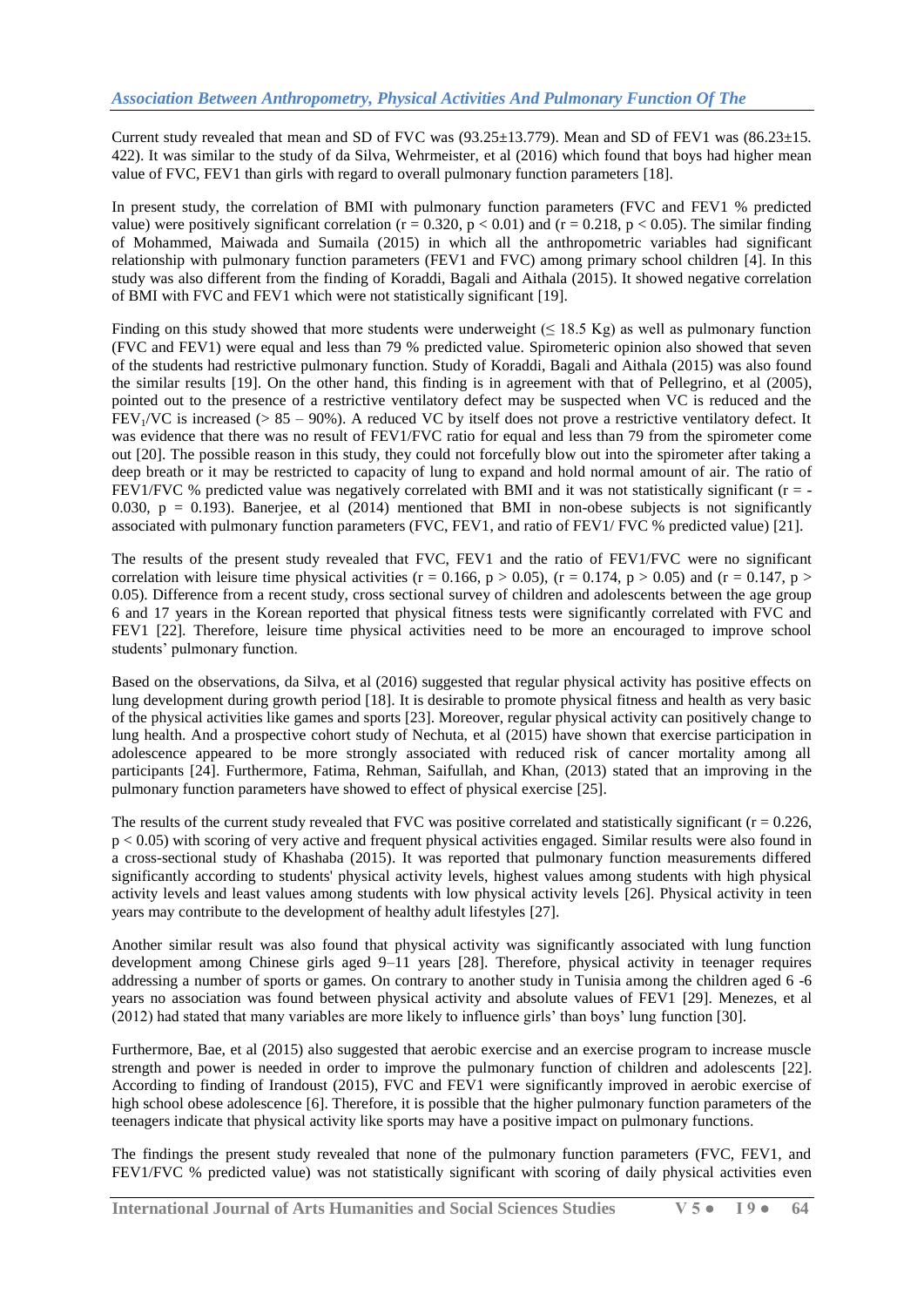Current study revealed that mean and SD of FVC was  $(93.25 \pm 13.779)$ . Mean and SD of FEV1 was  $(86.23 \pm 15.779)$ 422). It was similar to the study of da Silva, Wehrmeister, et al (2016) which found that boys had higher mean value of FVC, FEV1 than girls with regard to overall pulmonary function parameters [18].

In present study, the correlation of BMI with pulmonary function parameters (FVC and FEV1 % predicted value) were positively significant correlation ( $r = 0.320$ ,  $p < 0.01$ ) and ( $r = 0.218$ ,  $p < 0.05$ ). The similar finding of Mohammed, Maiwada and Sumaila (2015) in which all the anthropometric variables had significant relationship with pulmonary function parameters (FEV1 and FVC) among primary school children [4]. In this study was also different from the finding of Koraddi, Bagali and Aithala (2015). It showed negative correlation of BMI with FVC and FEV1 which were not statistically significant [19].

Finding on this study showed that more students were underweight ( $\leq 18.5$  Kg) as well as pulmonary function (FVC and FEV1) were equal and less than 79 % predicted value. Spirometeric opinion also showed that seven of the students had restrictive pulmonary function. Study of Koraddi, Bagali and Aithala (2015) was also found the similar results [19]. On the other hand, this finding is in agreement with that of Pellegrino, et al (2005), pointed out to the presence of a restrictive ventilatory defect may be suspected when VC is reduced and the FEV<sub>1</sub>/VC is increased ( $> 85 - 90\%$ ). A reduced VC by itself does not prove a restrictive ventilatory defect. It was evidence that there was no result of FEV1/FVC ratio for equal and less than 79 from the spirometer come out [20]. The possible reason in this study, they could not forcefully blow out into the spirometer after taking a deep breath or it may be restricted to capacity of lung to expand and hold normal amount of air. The ratio of FEV1/FVC % predicted value was negatively correlated with BMI and it was not statistically significant (r = -0.030,  $p = 0.193$ ). [Banerjee,](https://www.ncbi.nlm.nih.gov/pubmed/?term=Banerjee%20J%5BAuthor%5D&cauthor=true&cauthor_uid=24701468) et al (2014) mentioned that BMI in non-obese subjects is not significantly associated with pulmonary function parameters (FVC, FEV1, and ratio of FEV1/ FVC % predicted value) [21].

The results of the present study revealed that FVC, FEV1 and the ratio of FEV1/FVC were no significant correlation with leisure time physical activities (r = 0.166, p > 0.05), (r = 0.174, p > 0.05) and (r = 0.147, p > 0.05). Difference from a recent study, cross sectional survey of children and adolescents between the age group 6 and 17 years in the Korean reported that physical fitness tests were significantly correlated with FVC and FEV1 [22]. Therefore, leisure time physical activities need to be more an encouraged to improve school students' pulmonary function.

Based on the observations, da Silva, et al (2016) suggested that regular physical activity has positive effects on lung development during growth period [18]. It is desirable to promote physical fitness and health as very basic of the physical activities like games and sports [23]. Moreover, regular physical activity can positively change to lung health. And a prospective cohort study of Nechuta, et al (2015) have shown that exercise participation in adolescence appeared to be more strongly associated with reduced risk of cancer mortality among all participants [24]. Furthermore, Fatima, Rehman, Saifullah, and Khan, (2013) stated that an improving in the pulmonary function parameters have showed to effect of physical exercise [25].

The results of the current study revealed that FVC was positive correlated and statistically significant  $(r = 0.226,$ p < 0.05) with scoring of very active and frequent physical activities engaged. Similar results were also found in a cross-sectional study of Khashaba (2015). It was reported that pulmonary function measurements differed significantly according to students' physical activity levels, highest values among students with high physical activity levels and least values among students with low physical activity levels [26]. Physical activity in teen years may contribute to the development of healthy adult lifestyles [27].

Another similar result was also found that physical activity was significantly associated with lung function development among Chinese girls aged 9–11 years [28]. Therefore, physical activity in teenager requires addressing a number of sports or games. On contrary to another study in Tunisia among the children aged 6 -6 years no association was found between physical activity and absolute values of FEV1 [29]. Menezes, et al (2012) had stated that many variables are more likely to influence girls' than boys' lung function [30].

Furthermore, Bae, et al (2015) also suggested that aerobic exercise and an exercise program to increase muscle strength and power is needed in order to improve the pulmonary function of children and adolescents [22]. According to finding of Irandoust (2015), FVC and FEV1 were significantly improved in aerobic exercise of high school obese adolescence [6]. Therefore, it is possible that the higher pulmonary function parameters of the teenagers indicate that physical activity like sports may have a positive impact on pulmonary functions.

The findings the present study revealed that none of the pulmonary function parameters (FVC, FEV1, and FEV1/FVC % predicted value) was not statistically significant with scoring of daily physical activities even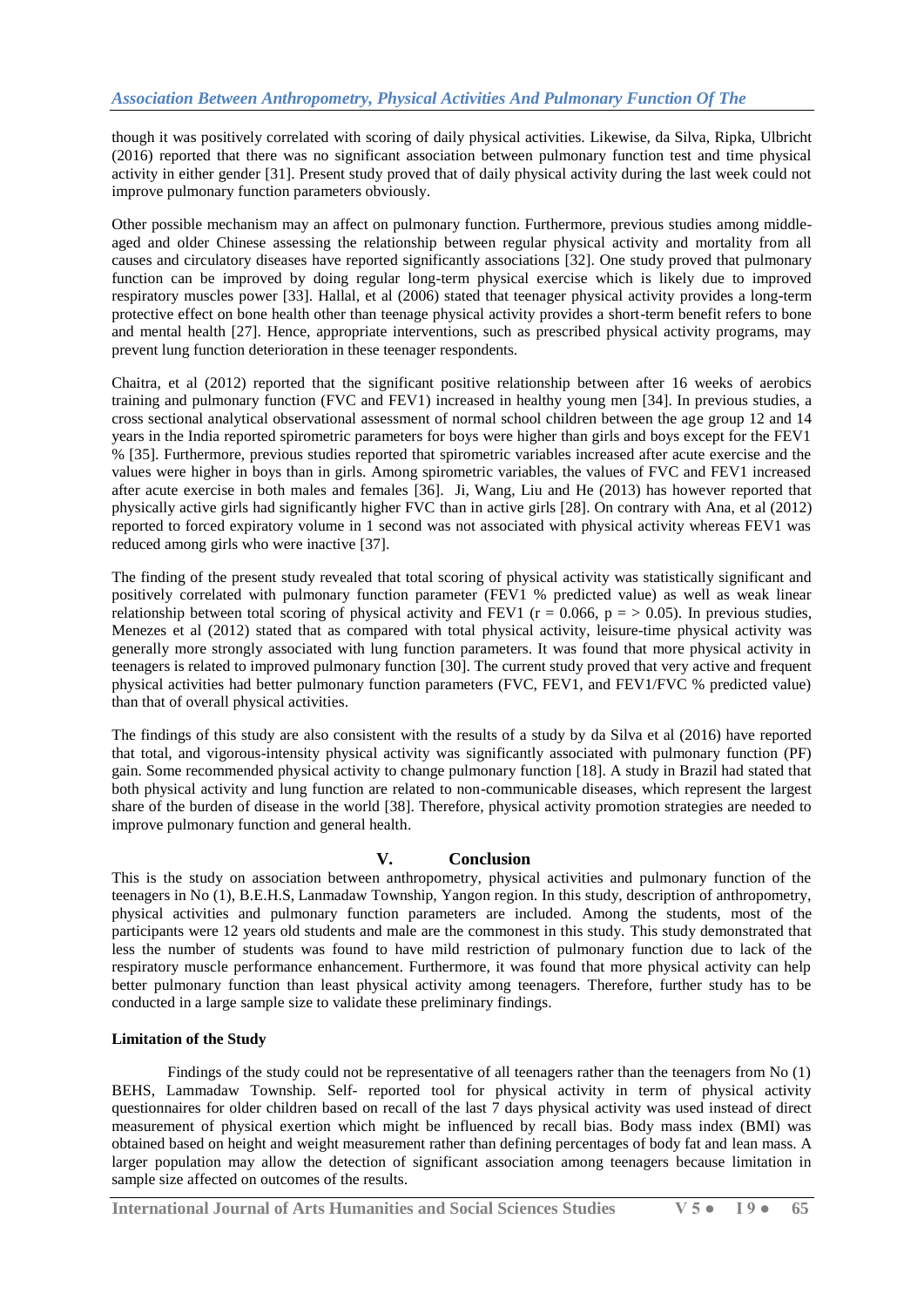though it was positively correlated with scoring of daily physical activities. Likewise, da Silva, Ripka, Ulbricht (2016) reported that there was no significant association between pulmonary function test and time physical activity in either gender [31]. Present study proved that of daily physical activity during the last week could not improve pulmonary function parameters obviously.

Other possible mechanism may an affect on pulmonary function. Furthermore, previous studies among middleaged and older Chinese assessing the relationship between regular physical activity and mortality from all causes and circulatory diseases have reported significantly associations [32]. One study proved that pulmonary function can be improved by doing regular long-term physical exercise which is likely due to improved respiratory muscles power [33]. Hallal, et al (2006) stated that teenager physical activity provides a long-term protective effect on bone health other than teenage physical activity provides a short-term benefit refers to bone and mental health [27]. Hence, appropriate interventions, such as prescribed physical activity programs, may prevent lung function deterioration in these teenager respondents.

Chaitra, et al (2012) reported that the significant positive relationship between after 16 weeks of aerobics training and pulmonary function (FVC and FEV1) increased in healthy young men [34]. In previous studies, a cross sectional analytical observational assessment of normal school children between the age group 12 and 14 years in the India reported spirometric parameters for boys were higher than girls and boys except for the FEV1 % [35]. Furthermore, previous studies reported that spirometric variables increased after acute exercise and the values were higher in boys than in girls. Among spirometric variables, the values of FVC and FEV1 increased after acute exercise in both males and females [36]. Ji, Wang, Liu and He (2013) has however reported that physically active girls had significantly higher FVC than in active girls [28]. On contrary with Ana, et al (2012) reported to forced expiratory volume in 1 second was not associated with physical activity whereas FEV1 was reduced among girls who were inactive [37].

The finding of the present study revealed that total scoring of physical activity was statistically significant and positively correlated with pulmonary function parameter (FEV1 % predicted value) as well as weak linear relationship between total scoring of physical activity and FEV1 ( $r = 0.066$ ,  $p = > 0.05$ ). In previous studies, Menezes et al (2012) stated that as compared with total physical activity, leisure-time physical activity was generally more strongly associated with lung function parameters. It was found that more physical activity in teenagers is related to improved pulmonary function [30]. The current study proved that very active and frequent physical activities had better pulmonary function parameters (FVC, FEV1, and FEV1/FVC % predicted value) than that of overall physical activities.

The findings of this study are also consistent with the results of a study by da Silva et al (2016) have reported that total, and vigorous-intensity physical activity was significantly associated with pulmonary function (PF) gain. Some recommended physical activity to change pulmonary function [18]. A study in Brazil had stated that both physical activity and lung function are related to non-communicable diseases, which represent the largest share of the burden of disease in the world [38]. Therefore, physical activity promotion strategies are needed to improve pulmonary function and general health.

# **V. Conclusion**

This is the study on association between anthropometry, physical activities and pulmonary function of the teenagers in No (1), B.E.H.S, Lanmadaw Township, Yangon region. In this study, description of anthropometry, physical activities and pulmonary function parameters are included. Among the students, most of the participants were 12 years old students and male are the commonest in this study. This study demonstrated that less the number of students was found to have mild restriction of pulmonary function due to lack of the respiratory muscle performance enhancement. Furthermore, it was found that more physical activity can help better pulmonary function than least physical activity among teenagers. Therefore, further study has to be conducted in a large sample size to validate these preliminary findings.

# **Limitation of the Study**

Findings of the study could not be representative of all teenagers rather than the teenagers from No (1) BEHS, Lammadaw Township. Self- reported tool for physical activity in term of physical activity questionnaires for older children based on recall of the last 7 days physical activity was used instead of direct measurement of physical exertion which might be influenced by recall bias. Body mass index (BMI) was obtained based on height and weight measurement rather than defining percentages of body fat and lean mass. A larger population may allow the detection of significant association among teenagers because limitation in sample size affected on outcomes of the results.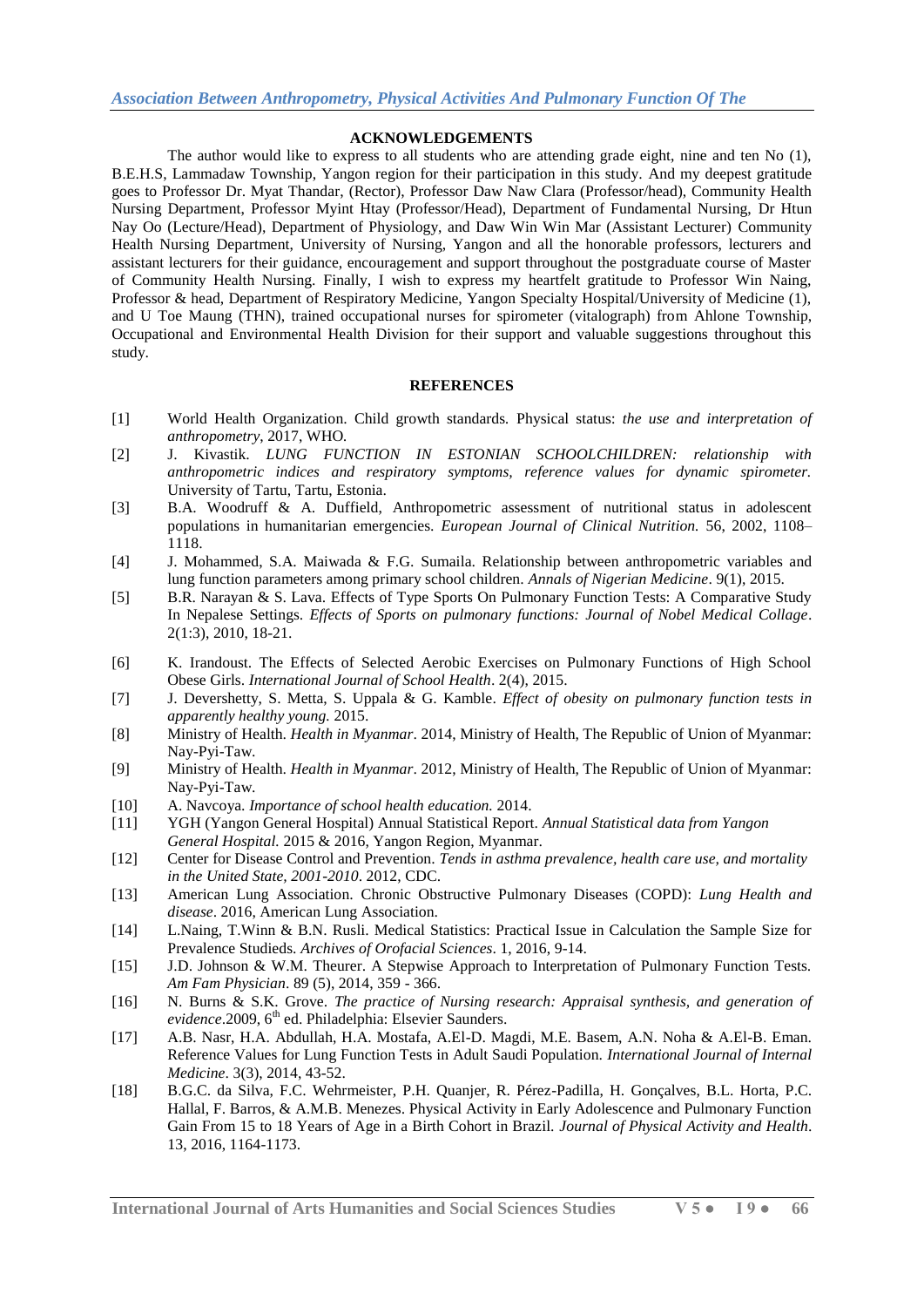### **ACKNOWLEDGEMENTS**

The author would like to express to all students who are attending grade eight, nine and ten No (1), B.E.H.S, Lammadaw Township, Yangon region for their participation in this study. And my deepest gratitude goes to Professor Dr. Myat Thandar, (Rector), Professor Daw Naw Clara (Professor/head), Community Health Nursing Department, Professor Myint Htay (Professor/Head), Department of Fundamental Nursing, Dr Htun Nay Oo (Lecture/Head), Department of Physiology, and Daw Win Win Mar (Assistant Lecturer) Community Health Nursing Department, University of Nursing, Yangon and all the honorable professors, lecturers and assistant lecturers for their guidance, encouragement and support throughout the postgraduate course of Master of Community Health Nursing. Finally, I wish to express my heartfelt gratitude to Professor Win Naing, Professor & head, Department of Respiratory Medicine, Yangon Specialty Hospital/University of Medicine (1), and U Toe Maung (THN), trained occupational nurses for spirometer (vitalograph) from Ahlone Township, Occupational and Environmental Health Division for their support and valuable suggestions throughout this study.

#### **REFERENCES**

- [1] World Health Organization. Child growth standards*.* Physical status: *the use and interpretation of anthropometry*, 2017, WHO*.*
- [2] J. Kivastik. *LUNG FUNCTION IN ESTONIAN SCHOOLCHILDREN: relationship with anthropometric indices and respiratory symptoms, reference values for dynamic spirometer.* University of Tartu, Tartu, Estonia.
- [3] B.A. Woodruff & A. Duffield, Anthropometric assessment of nutritional status in adolescent populations in humanitarian emergencies. *European Journal of Clinical Nutrition.* 56, 2002, 1108– 1118.
- [4] J. Mohammed, S.A. Maiwada & F.G. Sumaila. Relationship between anthropometric variables and lung function parameters among primary school children. *Annals of Nigerian Medicine*. 9(1), 2015.
- [5] B.R. Narayan & S. Lava. Effects of Type Sports On Pulmonary Function Tests: A Comparative Study In Nepalese Settings. *Effects of Sports on pulmonary functions: Journal of Nobel Medical Collage*. 2(1:3), 2010, 18-21.
- [6] K. Irandoust. The Effects of Selected Aerobic Exercises on Pulmonary Functions of High School Obese Girls. *International Journal of School Health*. 2(4), 2015.
- [7] J. Devershetty, S. Metta, S. Uppala & G. Kamble. *Effect of obesity on pulmonary function tests in apparently healthy young.* 2015.
- [8] Ministry of Health. *Health in Myanmar*. 2014, Ministry of Health, The Republic of Union of Myanmar: Nay-Pyi-Taw.
- [9] Ministry of Health. *Health in Myanmar*. 2012, Ministry of Health, The Republic of Union of Myanmar: Nay-Pyi-Taw.
- [10] A. Navcoya. *Importance of school health education.* 2014.
- [11] YGH (Yangon General Hospital) Annual Statistical Report. *Annual Statistical data from Yangon General Hospital.* 2015 & 2016, Yangon Region, Myanmar.
- [12] Center for Disease Control and Prevention. *Tends in asthma prevalence, health care use, and mortality in the United State, 2001-2010*. 2012, CDC.
- [13] American Lung Association. Chronic Obstructive Pulmonary Diseases (COPD): *Lung Health and disease*. 2016, American Lung Association.
- [14] L.Naing, T.Winn & B.N. Rusli. Medical Statistics: Practical Issue in Calculation the Sample Size for Prevalence Studieds. *Archives of Orofacial Sciences*. 1, 2016, 9-14.
- [15] J.D. Johnson & W.M. Theurer. A Stepwise Approach to Interpretation of Pulmonary Function Tests. *Am Fam Physician*. 89 (5), 2014, 359 - 366.
- [16] N. Burns & S.K. Grove. *The practice of Nursing research: Appraisal synthesis, and generation of*   $evidence.2009, 6<sup>th</sup>$  ed. Philadelphia: Elsevier Saunders.
- [17] A.B. Nasr, H.A. Abdullah, H.A. Mostafa, A.El-D. Magdi, M.E. Basem, A.N. Noha & A.El-B. Eman. Reference Values for Lung Function Tests in Adult Saudi Population. *International Journal of Internal Medicine*. 3(3), 2014, 43-52.
- [18] B.G.C. da Silva, F.C. Wehrmeister, P.H. Quanjer, R. Pérez-Padilla, H. Gonçalves, B.L. Horta, P.C. Hallal, F. Barros, & A.M.B. Menezes. Physical Activity in Early Adolescence and Pulmonary Function Gain From 15 to 18 Years of Age in a Birth Cohort in Brazil. *Journal of Physical Activity and Health*. 13, 2016, 1164-1173.